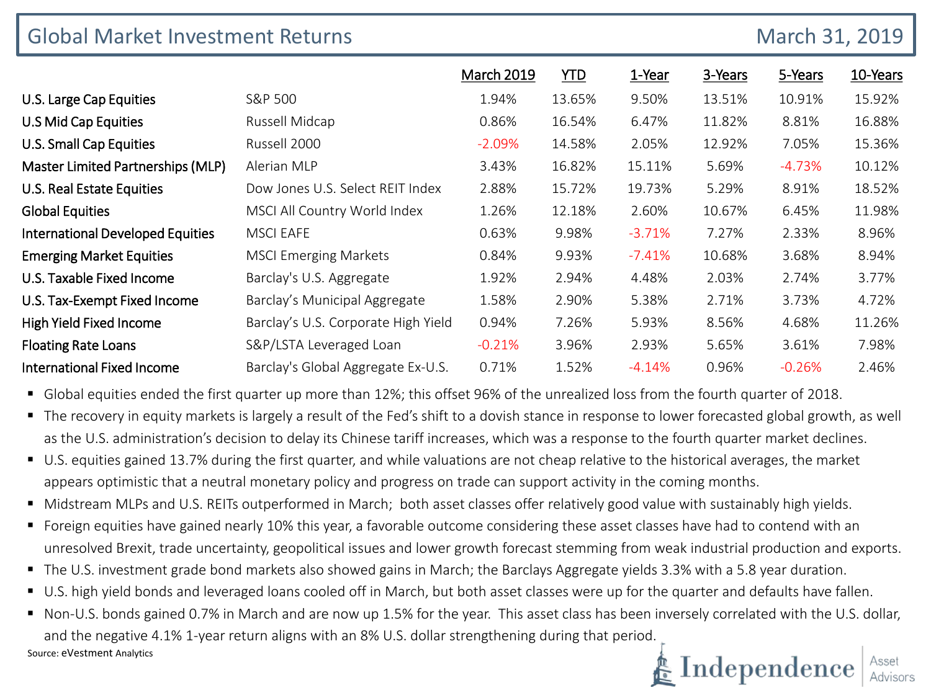| <b>Global Market Investment Returns</b> |                                     |                   |            |          |         |          | March 31, 2019 |  |
|-----------------------------------------|-------------------------------------|-------------------|------------|----------|---------|----------|----------------|--|
|                                         |                                     | <b>March 2019</b> | <b>YTD</b> | 1-Year   | 3-Years | 5-Years  | 10-Years       |  |
| U.S. Large Cap Equities                 | S&P 500                             | 1.94%             | 13.65%     | 9.50%    | 13.51%  | 10.91%   | 15.92%         |  |
| U.S Mid Cap Equities                    | Russell Midcap                      | 0.86%             | 16.54%     | 6.47%    | 11.82%  | 8.81%    | 16.88%         |  |
| U.S. Small Cap Equities                 | Russell 2000                        | $-2.09%$          | 14.58%     | 2.05%    | 12.92%  | 7.05%    | 15.36%         |  |
| Master Limited Partnerships (MLP)       | Alerian MLP                         | 3.43%             | 16.82%     | 15.11%   | 5.69%   | $-4.73%$ | 10.12%         |  |
| U.S. Real Estate Equities               | Dow Jones U.S. Select REIT Index    | 2.88%             | 15.72%     | 19.73%   | 5.29%   | 8.91%    | 18.52%         |  |
| <b>Global Equities</b>                  | MSCI All Country World Index        | 1.26%             | 12.18%     | 2.60%    | 10.67%  | 6.45%    | 11.98%         |  |
| <b>International Developed Equities</b> | <b>MSCI EAFE</b>                    | 0.63%             | 9.98%      | $-3.71%$ | 7.27%   | 2.33%    | 8.96%          |  |
| <b>Emerging Market Equities</b>         | <b>MSCI Emerging Markets</b>        | 0.84%             | 9.93%      | $-7.41%$ | 10.68%  | 3.68%    | 8.94%          |  |
| U.S. Taxable Fixed Income               | Barclay's U.S. Aggregate            | 1.92%             | 2.94%      | 4.48%    | 2.03%   | 2.74%    | 3.77%          |  |
| U.S. Tax-Exempt Fixed Income            | Barclay's Municipal Aggregate       | 1.58%             | 2.90%      | 5.38%    | 2.71%   | 3.73%    | 4.72%          |  |
| High Yield Fixed Income                 | Barclay's U.S. Corporate High Yield | 0.94%             | 7.26%      | 5.93%    | 8.56%   | 4.68%    | 11.26%         |  |
| <b>Floating Rate Loans</b>              | S&P/LSTA Leveraged Loan             | $-0.21%$          | 3.96%      | 2.93%    | 5.65%   | 3.61%    | 7.98%          |  |
| <b>International Fixed Income</b>       | Barclay's Global Aggregate Ex-U.S.  | 0.71%             | 1.52%      | $-4.14%$ | 0.96%   | $-0.26%$ | 2.46%          |  |

Global equities ended the first quarter up more than 12%; this offset 96% of the unrealized loss from the fourth quarter of 2018.

- The recovery in equity markets is largely a result of the Fed's shift to a dovish stance in response to lower forecasted global growth, as well as the U.S. administration's decision to delay its Chinese tariff increases, which was a response to the fourth quarter market declines.
- U.S. equities gained 13.7% during the first quarter, and while valuations are not cheap relative to the historical averages, the market appears optimistic that a neutral monetary policy and progress on trade can support activity in the coming months.
- " Midstream MLPs and U.S. REITs outperformed in March; both asset classes offer relatively good value with sustainably high yields.
- **F** Foreign equities have gained nearly 10% this year, a favorable outcome considering these asset classes have had to contend with an unresolved Brexit, trade uncertainty, geopolitical issues and lower growth forecast stemming from weak industrial production and exports.
- The U.S. investment grade bond markets also showed gains in March; the Barclays Aggregate yields 3.3% with a 5.8 year duration.
- U.S. high yield bonds and leveraged loans cooled off in March, but both asset classes were up for the quarter and defaults have fallen.
- Non-U.S. bonds gained 0.7% in March and are now up 1.5% for the year. This asset class has been inversely correlated with the U.S. dollar, and the negative 4.1% 1-year return aligns with an 8% U.S. dollar strengthening during that period. Source: eVestment Analytics

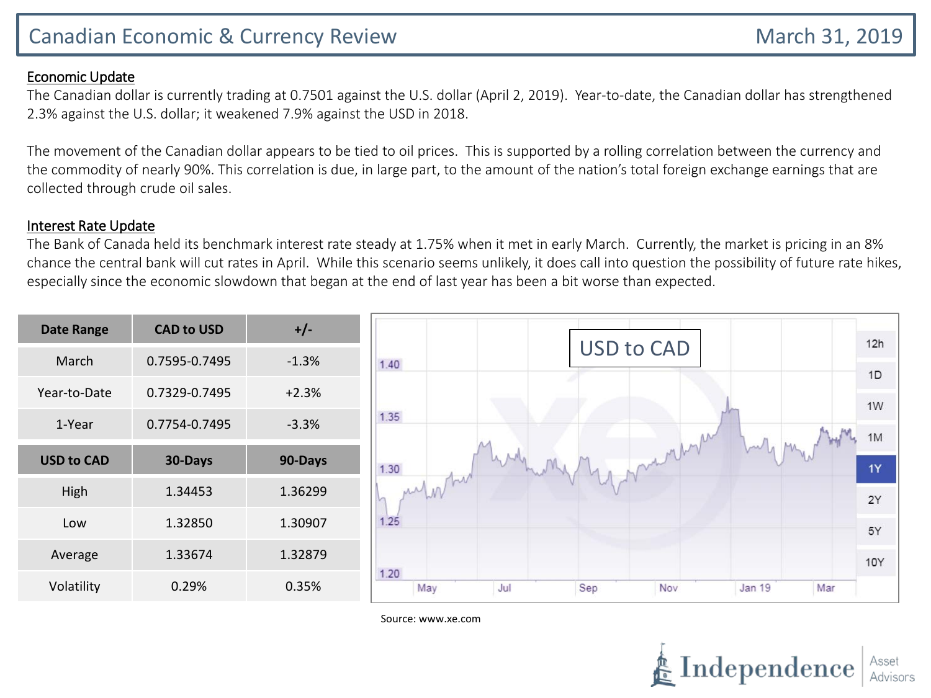## Canadian Economic & Currency Review March 31, 2019

### Economic Update

The Canadian dollar is currently trading at 0.7501 against the U.S. dollar (April 2, 2019). Year-to-date, the Canadian dollar has strengthened 2.3% against the U.S. dollar; it weakened 7.9% against the USD in 2018.

The movement of the Canadian dollar appears to be tied to oil prices. This is supported by a rolling correlation between the currency and the commodity of nearly 90%. This correlation is due, in large part, to the amount of the nation's total foreign exchange earnings that are collected through crude oil sales.

#### Interest Rate Update

The Bank of Canada held its benchmark interest rate steady at 1.75% when it met in early March. Currently, the market is pricing in an 8% chance the central bank will cut rates in April. While this scenario seems unlikely, it does call into question the possibility of future rate hikes, especially since the economic slowdown that began at the end of last year has been a bit worse than expected.

| <b>Date Range</b> | <b>CAD to USD</b> | $+/-$   |                                                          | 12h      |  |  |  |  |  |
|-------------------|-------------------|---------|----------------------------------------------------------|----------|--|--|--|--|--|
| March             | 0.7595-0.7495     | $-1.3%$ | <b>USD to CAD</b><br>1.40                                |          |  |  |  |  |  |
| Year-to-Date      | 0.7329-0.7495     | $+2.3%$ |                                                          | 1D<br>1W |  |  |  |  |  |
| 1-Year            | 0.7754-0.7495     | $-3.3%$ | 1.35<br>м                                                | 1M       |  |  |  |  |  |
| <b>USD to CAD</b> | 30-Days           | 90-Days | $\sim$<br>monthy<br>1.30                                 |          |  |  |  |  |  |
| High              | 1.34453           | 1.36299 | Vintur<br>In                                             |          |  |  |  |  |  |
| Low               | 1.32850           | 1.30907 | 1.25                                                     | 2Y<br>5Y |  |  |  |  |  |
| Average           | 1.33674           | 1.32879 |                                                          | 10Y      |  |  |  |  |  |
| Volatility        | 0.29%             | 0.35%   | 1.20<br>Jul<br>Sep<br>Nov<br><b>Jan 19</b><br>Mar<br>May |          |  |  |  |  |  |

Source: www.xe.com